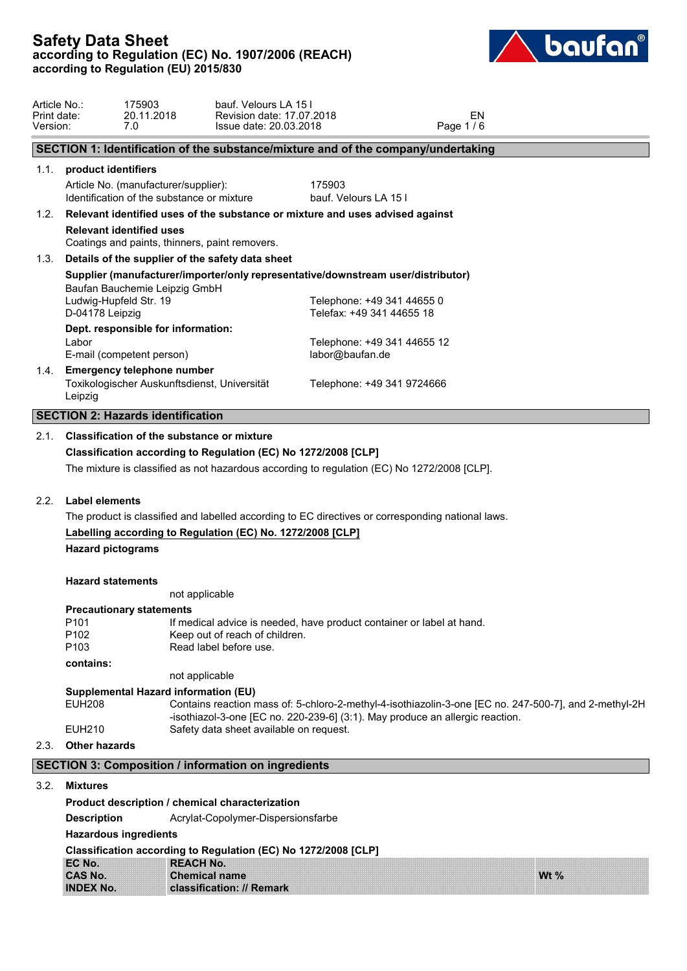

| Article No.:<br>Print date:<br>Version: |                                                                                                                                                                                                                                                 | 175903<br>20.11.2018<br>7.0                                                                                         | bauf. Velours LA 15 I<br>Revision date: 17.07.2018<br>Issue date: 20.03.2018                |                                                         |  | Page 1/6 | EN |  |  |
|-----------------------------------------|-------------------------------------------------------------------------------------------------------------------------------------------------------------------------------------------------------------------------------------------------|---------------------------------------------------------------------------------------------------------------------|---------------------------------------------------------------------------------------------|---------------------------------------------------------|--|----------|----|--|--|
|                                         |                                                                                                                                                                                                                                                 |                                                                                                                     | SECTION 1: Identification of the substance/mixture and of the company/undertaking           |                                                         |  |          |    |  |  |
| 1.1.                                    | product identifiers                                                                                                                                                                                                                             |                                                                                                                     |                                                                                             |                                                         |  |          |    |  |  |
|                                         |                                                                                                                                                                                                                                                 | Article No. (manufacturer/supplier):<br>Identification of the substance or mixture                                  |                                                                                             | 175903<br>bauf. Velours LA 15 I                         |  |          |    |  |  |
| 1.2.                                    |                                                                                                                                                                                                                                                 |                                                                                                                     | Relevant identified uses of the substance or mixture and uses advised against               |                                                         |  |          |    |  |  |
|                                         | <b>Relevant identified uses</b><br>Coatings and paints, thinners, paint removers.                                                                                                                                                               |                                                                                                                     |                                                                                             |                                                         |  |          |    |  |  |
| 1.3.                                    |                                                                                                                                                                                                                                                 |                                                                                                                     | Details of the supplier of the safety data sheet                                            |                                                         |  |          |    |  |  |
|                                         |                                                                                                                                                                                                                                                 | Baufan Bauchemie Leipzig GmbH                                                                                       | Supplier (manufacturer/importer/only representative/downstream user/distributor)            |                                                         |  |          |    |  |  |
|                                         | Ludwig-Hupfeld Str. 19<br>D-04178 Leipzig                                                                                                                                                                                                       |                                                                                                                     |                                                                                             | Telephone: +49 341 44655 0<br>Telefax: +49 341 44655 18 |  |          |    |  |  |
|                                         |                                                                                                                                                                                                                                                 | Dept. responsible for information:                                                                                  |                                                                                             |                                                         |  |          |    |  |  |
|                                         | Labor                                                                                                                                                                                                                                           | E-mail (competent person)                                                                                           |                                                                                             | Telephone: +49 341 44655 12<br>labor@baufan.de          |  |          |    |  |  |
| 1.4.                                    | Leipzig                                                                                                                                                                                                                                         | <b>Emergency telephone number</b>                                                                                   | Toxikologischer Auskunftsdienst, Universität                                                | Telephone: +49 341 9724666                              |  |          |    |  |  |
|                                         |                                                                                                                                                                                                                                                 | <b>SECTION 2: Hazards identification</b>                                                                            |                                                                                             |                                                         |  |          |    |  |  |
| 2.1.                                    |                                                                                                                                                                                                                                                 |                                                                                                                     | Classification of the substance or mixture                                                  |                                                         |  |          |    |  |  |
|                                         |                                                                                                                                                                                                                                                 |                                                                                                                     | Classification according to Regulation (EC) No 1272/2008 [CLP]                              |                                                         |  |          |    |  |  |
|                                         |                                                                                                                                                                                                                                                 |                                                                                                                     | The mixture is classified as not hazardous according to regulation (EC) No 1272/2008 [CLP]. |                                                         |  |          |    |  |  |
| 2.2.                                    |                                                                                                                                                                                                                                                 |                                                                                                                     |                                                                                             |                                                         |  |          |    |  |  |
|                                         |                                                                                                                                                                                                                                                 | Label elements<br>The product is classified and labelled according to EC directives or corresponding national laws. |                                                                                             |                                                         |  |          |    |  |  |
|                                         |                                                                                                                                                                                                                                                 | Labelling according to Regulation (EC) No. 1272/2008 [CLP]                                                          |                                                                                             |                                                         |  |          |    |  |  |
|                                         | <b>Hazard pictograms</b>                                                                                                                                                                                                                        |                                                                                                                     |                                                                                             |                                                         |  |          |    |  |  |
|                                         | <b>Hazard statements</b>                                                                                                                                                                                                                        |                                                                                                                     | not applicable                                                                              |                                                         |  |          |    |  |  |
|                                         |                                                                                                                                                                                                                                                 | <b>Precautionary statements</b>                                                                                     |                                                                                             |                                                         |  |          |    |  |  |
|                                         | P <sub>101</sub>                                                                                                                                                                                                                                |                                                                                                                     | If medical advice is needed, have product container or label at hand.                       |                                                         |  |          |    |  |  |
|                                         | P <sub>102</sub><br>P <sub>103</sub>                                                                                                                                                                                                            |                                                                                                                     | Keep out of reach of children.<br>Read label before use.                                    |                                                         |  |          |    |  |  |
|                                         | contains:                                                                                                                                                                                                                                       |                                                                                                                     |                                                                                             |                                                         |  |          |    |  |  |
|                                         |                                                                                                                                                                                                                                                 |                                                                                                                     | not applicable                                                                              |                                                         |  |          |    |  |  |
|                                         | Supplemental Hazard information (EU)<br><b>EUH208</b><br>Contains reaction mass of: 5-chloro-2-methyl-4-isothiazolin-3-one [EC no. 247-500-7], and 2-methyl-2H<br>-isothiazol-3-one [EC no. 220-239-6] (3:1). May produce an allergic reaction. |                                                                                                                     |                                                                                             |                                                         |  |          |    |  |  |
|                                         | <b>EUH210</b>                                                                                                                                                                                                                                   |                                                                                                                     | Safety data sheet available on request.                                                     |                                                         |  |          |    |  |  |
| 2.3.                                    | <b>Other hazards</b>                                                                                                                                                                                                                            |                                                                                                                     |                                                                                             |                                                         |  |          |    |  |  |
|                                         |                                                                                                                                                                                                                                                 |                                                                                                                     | <b>SECTION 3: Composition / information on ingredients</b>                                  |                                                         |  |          |    |  |  |
|                                         | 3.2. Mixtures                                                                                                                                                                                                                                   |                                                                                                                     |                                                                                             |                                                         |  |          |    |  |  |
|                                         |                                                                                                                                                                                                                                                 |                                                                                                                     | Product description / chemical characterization                                             |                                                         |  |          |    |  |  |
|                                         | <b>Description</b>                                                                                                                                                                                                                              |                                                                                                                     | Acrylat-Copolymer-Dispersionsfarbe                                                          |                                                         |  |          |    |  |  |
|                                         |                                                                                                                                                                                                                                                 | <b>Hazardous ingredients</b>                                                                                        |                                                                                             |                                                         |  |          |    |  |  |
|                                         |                                                                                                                                                                                                                                                 |                                                                                                                     |                                                                                             |                                                         |  |          |    |  |  |

**Classification according to Regulation (EC) No 1272/2008 [CLP] EC No. REACH No. CAS No. Chemical name INDEX No. classification: // Remark**

**Wt %**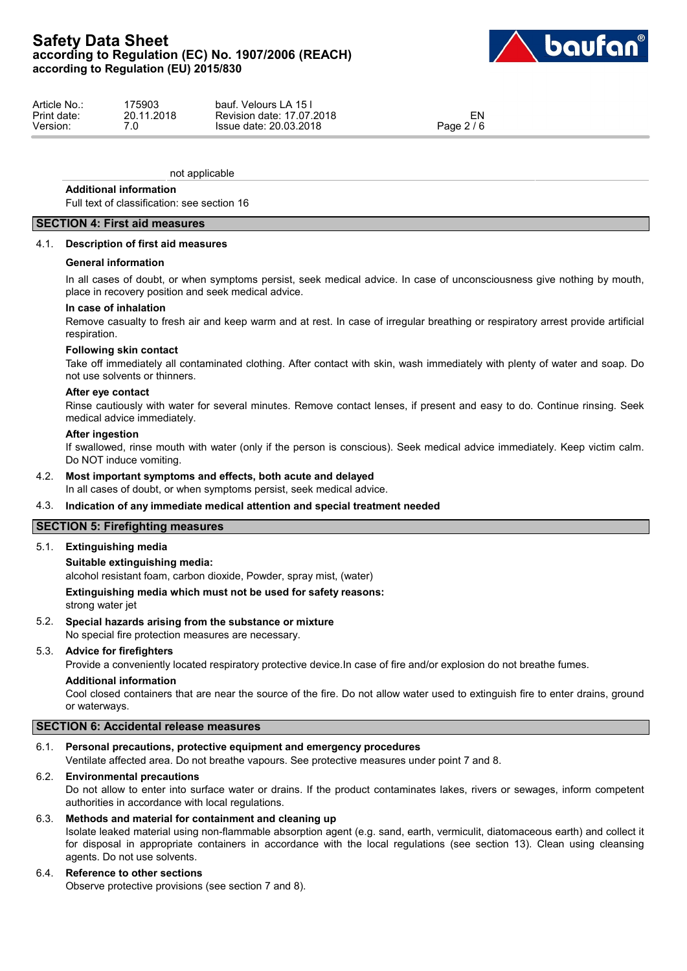

| Article No  | 175903                       | Velours LA 15<br>bauf.    |            |
|-------------|------------------------------|---------------------------|------------|
| Print date: | 20.11.2018                   | Revision date: 17.07.2018 | ≅IN.       |
| Version:    | $\overline{\phantom{a}}$<br> | Issue date: 20.03.2018    | Page 2 / 6 |

not applicable

### **Additional information**

Full text of classification: see section 16

## **SECTION 4: First aid measures**

### 4.1. **Description of first aid measures**

### **General information**

In all cases of doubt, or when symptoms persist, seek medical advice. In case of unconsciousness give nothing by mouth, place in recovery position and seek medical advice.

### **In case of inhalation**

Remove casualty to fresh air and keep warm and at rest. In case of irregular breathing or respiratory arrest provide artificial respiration.

### **Following skin contact**

Take off immediately all contaminated clothing. After contact with skin, wash immediately with plenty of water and soap. Do not use solvents or thinners.

### **After eye contact**

Rinse cautiously with water for several minutes. Remove contact lenses, if present and easy to do. Continue rinsing. Seek medical advice immediately.

### **After ingestion**

If swallowed, rinse mouth with water (only if the person is conscious). Seek medical advice immediately. Keep victim calm. Do NOT induce vomiting.

## 4.2. **Most important symptoms and effects, both acute and delayed**

In all cases of doubt, or when symptoms persist, seek medical advice.

### 4.3. **Indication of any immediate medical attention and special treatment needed**

### **SECTION 5: Firefighting measures**

### 5.1. **Extinguishing media**

### **Suitable extinguishing media:**

alcohol resistant foam, carbon dioxide, Powder, spray mist, (water)

### **Extinguishing media which must not be used for safety reasons:**

strong water jet

### 5.2. **Special hazards arising from the substance or mixture**

No special fire protection measures are necessary.

### 5.3. **Advice for firefighters**

Provide a conveniently located respiratory protective device.In case of fire and/or explosion do not breathe fumes.

### **Additional information**

Cool closed containers that are near the source of the fire. Do not allow water used to extinguish fire to enter drains, ground or waterways.

## **SECTION 6: Accidental release measures**

## 6.1. **Personal precautions, protective equipment and emergency procedures**

Ventilate affected area. Do not breathe vapours. See protective measures under point 7 and 8.

### 6.2. **Environmental precautions**

Do not allow to enter into surface water or drains. If the product contaminates lakes, rivers or sewages, inform competent authorities in accordance with local regulations.

### 6.3. **Methods and material for containment and cleaning up**

Isolate leaked material using non-flammable absorption agent (e.g. sand, earth, vermiculit, diatomaceous earth) and collect it for disposal in appropriate containers in accordance with the local regulations (see section 13). Clean using cleansing agents. Do not use solvents.

## 6.4. **Reference to other sections**

Observe protective provisions (see section 7 and 8).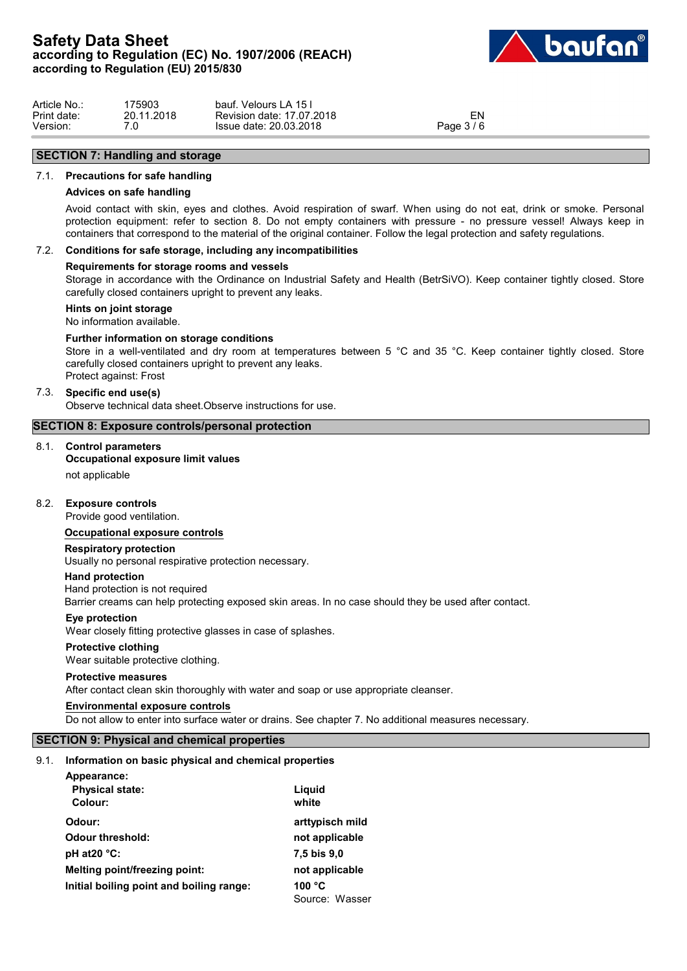

| Article No.: | 175903     | ์ Velours LA 15 เ<br>baut.   |            |  |
|--------------|------------|------------------------------|------------|--|
| Print date:  | 20.11.2018 | 17.07.2018<br>Revision date: | EN         |  |
| Version:     | ں.         | Issue date: 20.03.2018       | Page 3 / 6 |  |

# **SECTION 7: Handling and storage**

### 7.1. **Precautions for safe handling**

### **Advices on safe handling**

Avoid contact with skin, eyes and clothes. Avoid respiration of swarf. When using do not eat, drink or smoke. Personal protection equipment: refer to section 8. Do not empty containers with pressure - no pressure vessel! Always keep in containers that correspond to the material of the original container. Follow the legal protection and safety regulations.

## 7.2. **Conditions for safe storage, including any incompatibilities**

### **Requirements for storage rooms and vessels**

Storage in accordance with the Ordinance on Industrial Safety and Health (BetrSiVO). Keep container tightly closed. Store carefully closed containers upright to prevent any leaks.

## **Hints on joint storage**

No information available.

### **Further information on storage conditions**

Store in a well-ventilated and dry room at temperatures between 5 °C and 35 °C. Keep container tightly closed. Store carefully closed containers upright to prevent any leaks. Protect against: Frost

### 7.3. **Specific end use(s)**

Observe technical data sheet.Observe instructions for use.

### **SECTION 8: Exposure controls/personal protection**

## 8.1. **Control parameters**

## **Occupational exposure limit values**

not applicable

### 8.2. **Exposure controls**

Provide good ventilation.

### **Occupational exposure controls**

### **Respiratory protection**

Usually no personal respirative protection necessary.

### **Hand protection**

Hand protection is not required Barrier creams can help protecting exposed skin areas. In no case should they be used after contact.

### **Eye protection**

Wear closely fitting protective glasses in case of splashes.

#### **Protective clothing**

Wear suitable protective clothing.

### **Protective measures**

After contact clean skin thoroughly with water and soap or use appropriate cleanser.

### **Environmental exposure controls**

Do not allow to enter into surface water or drains. See chapter 7. No additional measures necessary.

## **SECTION 9: Physical and chemical properties**

### 9.1. **Information on basic physical and chemical properties**

| Appearance:                              |                 |
|------------------------------------------|-----------------|
| <b>Physical state:</b>                   | Liguid          |
| Colour:                                  | white           |
| Odour:                                   | arttypisch mild |
| <b>Odour threshold:</b>                  | not applicable  |
| pH at $20^{\circ}$ C:                    | 7,5 bis 9,0     |
| Melting point/freezing point:            | not applicable  |
| Initial boiling point and boiling range: | 100 $\degree$ C |
|                                          | Source: Wasser  |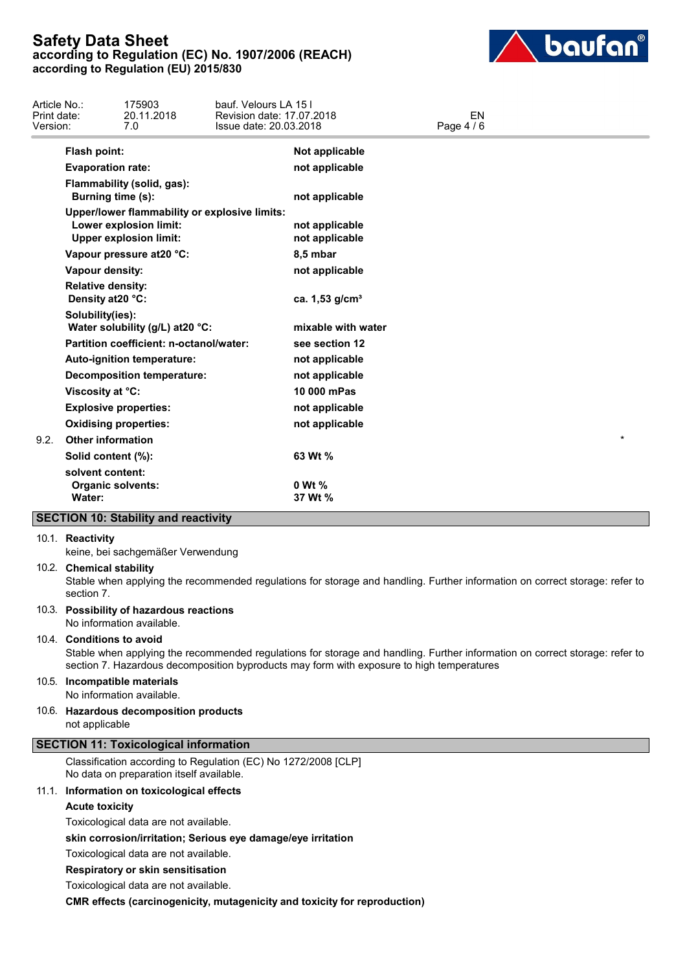

| Article No.:<br>Print date:<br>Version: |                                                        | 175903<br>20.11.2018<br>7.0                                                                              | bauf. Velours LA 15 I<br>Revision date: 17.07.2018<br>Issue date: 20.03.2018 |                                  | EN<br>Page 4 / 6 |         |  |
|-----------------------------------------|--------------------------------------------------------|----------------------------------------------------------------------------------------------------------|------------------------------------------------------------------------------|----------------------------------|------------------|---------|--|
|                                         | Flash point:                                           |                                                                                                          |                                                                              | Not applicable                   |                  |         |  |
|                                         | <b>Evaporation rate:</b>                               |                                                                                                          |                                                                              | not applicable                   |                  |         |  |
|                                         | Burning time (s):                                      | Flammability (solid, gas):                                                                               |                                                                              | not applicable                   |                  |         |  |
|                                         |                                                        | Upper/lower flammability or explosive limits:<br>Lower explosion limit:<br><b>Upper explosion limit:</b> |                                                                              | not applicable<br>not applicable |                  |         |  |
|                                         |                                                        | Vapour pressure at 20 °C:                                                                                |                                                                              | 8,5 mbar                         |                  |         |  |
|                                         | <b>Vapour density:</b>                                 |                                                                                                          |                                                                              | not applicable                   |                  |         |  |
|                                         | <b>Relative density:</b><br>Density at 20 °C:          |                                                                                                          |                                                                              | ca. 1,53 g/cm <sup>3</sup>       |                  |         |  |
|                                         | Solubility(ies):                                       | Water solubility (g/L) at 20 °C:                                                                         |                                                                              | mixable with water               |                  |         |  |
|                                         |                                                        | Partition coefficient: n-octanol/water:                                                                  |                                                                              | see section 12                   |                  |         |  |
|                                         |                                                        | Auto-ignition temperature:                                                                               |                                                                              | not applicable                   |                  |         |  |
|                                         |                                                        | <b>Decomposition temperature:</b>                                                                        |                                                                              | not applicable                   |                  |         |  |
|                                         | Viscosity at °C:                                       |                                                                                                          |                                                                              | 10 000 mPas                      |                  |         |  |
|                                         |                                                        | <b>Explosive properties:</b>                                                                             |                                                                              | not applicable                   |                  |         |  |
|                                         |                                                        | <b>Oxidising properties:</b>                                                                             |                                                                              | not applicable                   |                  |         |  |
| 9.2.                                    | <b>Other information</b>                               |                                                                                                          |                                                                              |                                  |                  | $\star$ |  |
|                                         | Solid content (%):                                     |                                                                                                          |                                                                              | 63 Wt %                          |                  |         |  |
|                                         | solvent content:<br><b>Organic solvents:</b><br>Water: |                                                                                                          |                                                                              | 0 Wt %<br>37 Wt %                |                  |         |  |
|                                         |                                                        | <b>SECTION 10: Stability and reactivity</b>                                                              |                                                                              |                                  |                  |         |  |

### 10.1. **Reactivity**

keine, bei sachgemäßer Verwendung

### 10.2. **Chemical stability**

Stable when applying the recommended regulations for storage and handling. Further information on correct storage: refer to section 7.

## 10.3. **Possibility of hazardous reactions**

No information available.

## 10.4. **Conditions to avoid**

Stable when applying the recommended regulations for storage and handling. Further information on correct storage: refer to section 7. Hazardous decomposition byproducts may form with exposure to high temperatures

### 10.5. **Incompatible materials**

No information available.

10.6. **Hazardous decomposition products** not applicable

# **SECTION 11: Toxicological information**

Classification according to Regulation (EC) No 1272/2008 [CLP] No data on preparation itself available.

### 11.1. **Information on toxicological effects**

**Acute toxicity**

Toxicological data are not available.

**skin corrosion/irritation; Serious eye damage/eye irritation**

Toxicological data are not available.

**Respiratory or skin sensitisation**

Toxicological data are not available.

**CMR effects (carcinogenicity, mutagenicity and toxicity for reproduction)**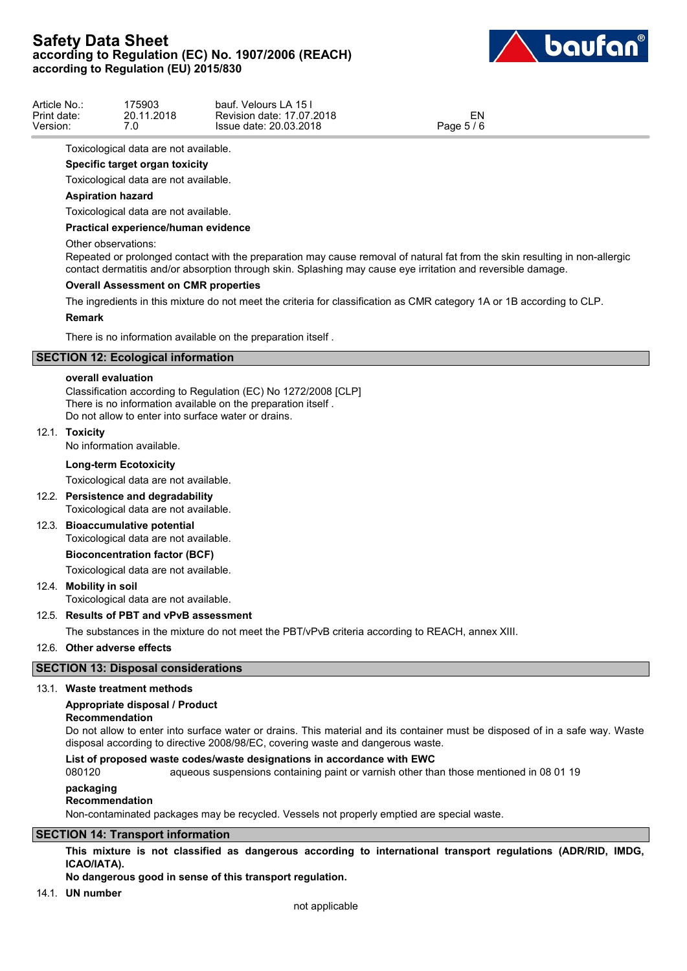

| Article No.: | 75903      | f. Velours LA 15 i<br>bauf. |                               |  |
|--------------|------------|-----------------------------|-------------------------------|--|
| Print date:  | 20.11.2018 | Revision date: 17.07.2018   | EN                            |  |
| Version:     | .U         | Issue date: 20.03.2018      | $AC = AC$<br>Page $5/$<br>' C |  |

Toxicological data are not available.

## **Specific target organ toxicity**

Toxicological data are not available.

## **Aspiration hazard**

Toxicological data are not available.

### **Practical experience/human evidence**

### Other observations:

Repeated or prolonged contact with the preparation may cause removal of natural fat from the skin resulting in non-allergic contact dermatitis and/or absorption through skin. Splashing may cause eye irritation and reversible damage.

### **Overall Assessment on CMR properties**

The ingredients in this mixture do not meet the criteria for classification as CMR category 1A or 1B according to CLP.

### **Remark**

There is no information available on the preparation itself .

## **SECTION 12: Ecological information**

### **overall evaluation**

Classification according to Regulation (EC) No 1272/2008 [CLP] There is no information available on the preparation itself . Do not allow to enter into surface water or drains.

### 12.1. **Toxicity**

No information available.

### **Long-term Ecotoxicity**

Toxicological data are not available.

12.2. **Persistence and degradability**

Toxicological data are not available.

# 12.3. **Bioaccumulative potential**

Toxicological data are not available.

## **Bioconcentration factor (BCF)**

Toxicological data are not available.

## 12.4. **Mobility in soil**

Toxicological data are not available.

### 12.5. **Results of PBT and vPvB assessment**

The substances in the mixture do not meet the PBT/vPvB criteria according to REACH, annex XIII.

## 12.6. **Other adverse effects**

## **SECTION 13: Disposal considerations**

### 13.1. **Waste treatment methods**

## **Appropriate disposal / Product**

**Recommendation**

Do not allow to enter into surface water or drains. This material and its container must be disposed of in a safe way. Waste disposal according to directive 2008/98/EC, covering waste and dangerous waste.

### **List of proposed waste codes/waste designations in accordance with EWC**

080120 aqueous suspensions containing paint or varnish other than those mentioned in 08 01 19

### **packaging**

#### **Recommendation**

Non-contaminated packages may be recycled. Vessels not properly emptied are special waste.

### **SECTION 14: Transport information**

**This mixture is not classified as dangerous according to international transport regulations (ADR/RID, IMDG, ICAO/IATA).**

## **No dangerous good in sense of this transport regulation.**

14.1. **UN number**